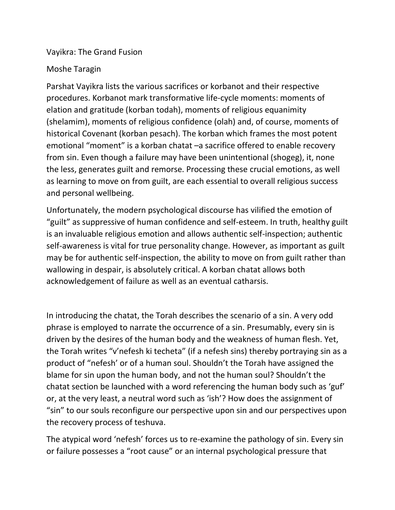Vayikra: The Grand Fusion

## Moshe Taragin

Parshat Vayikra lists the various sacrifices or korbanot and their respective procedures. Korbanot mark transformative life-cycle moments: moments of elation and gratitude (korban todah), moments of religious equanimity (shelamim), moments of religious confidence (olah) and, of course, moments of historical Covenant (korban pesach). The korban which frames the most potent emotional "moment" is a korban chatat –a sacrifice offered to enable recovery from sin. Even though a failure may have been unintentional (shogeg), it, none the less, generates guilt and remorse. Processing these crucial emotions, as well as learning to move on from guilt, are each essential to overall religious success and personal wellbeing.

Unfortunately, the modern psychological discourse has vilified the emotion of "guilt" as suppressive of human confidence and self-esteem. In truth, healthy guilt is an invaluable religious emotion and allows authentic self-inspection; authentic self-awareness is vital for true personality change. However, as important as guilt may be for authentic self-inspection, the ability to move on from guilt rather than wallowing in despair, is absolutely critical. A korban chatat allows both acknowledgement of failure as well as an eventual catharsis.

In introducing the chatat, the Torah describes the scenario of a sin. A very odd phrase is employed to narrate the occurrence of a sin. Presumably, every sin is driven by the desires of the human body and the weakness of human flesh. Yet, the Torah writes "v'nefesh ki techeta" (if a nefesh sins) thereby portraying sin as a product of "nefesh' or of a human soul. Shouldn't the Torah have assigned the blame for sin upon the human body, and not the human soul? Shouldn't the chatat section be launched with a word referencing the human body such as 'guf' or, at the very least, a neutral word such as 'ish'? How does the assignment of "sin" to our souls reconfigure our perspective upon sin and our perspectives upon the recovery process of teshuva.

The atypical word 'nefesh' forces us to re-examine the pathology of sin. Every sin or failure possesses a "root cause" or an internal psychological pressure that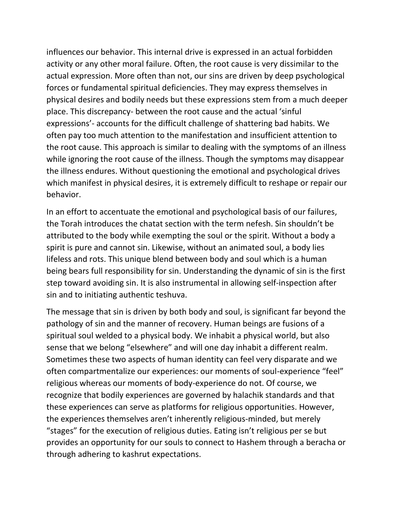influences our behavior. This internal drive is expressed in an actual forbidden activity or any other moral failure. Often, the root cause is very dissimilar to the actual expression. More often than not, our sins are driven by deep psychological forces or fundamental spiritual deficiencies. They may express themselves in physical desires and bodily needs but these expressions stem from a much deeper place. This discrepancy- between the root cause and the actual 'sinful expressions'- accounts for the difficult challenge of shattering bad habits. We often pay too much attention to the manifestation and insufficient attention to the root cause. This approach is similar to dealing with the symptoms of an illness while ignoring the root cause of the illness. Though the symptoms may disappear the illness endures. Without questioning the emotional and psychological drives which manifest in physical desires, it is extremely difficult to reshape or repair our behavior.

In an effort to accentuate the emotional and psychological basis of our failures, the Torah introduces the chatat section with the term nefesh. Sin shouldn't be attributed to the body while exempting the soul or the spirit. Without a body a spirit is pure and cannot sin. Likewise, without an animated soul, a body lies lifeless and rots. This unique blend between body and soul which is a human being bears full responsibility for sin. Understanding the dynamic of sin is the first step toward avoiding sin. It is also instrumental in allowing self-inspection after sin and to initiating authentic teshuva.

The message that sin is driven by both body and soul, is significant far beyond the pathology of sin and the manner of recovery. Human beings are fusions of a spiritual soul welded to a physical body. We inhabit a physical world, but also sense that we belong "elsewhere" and will one day inhabit a different realm. Sometimes these two aspects of human identity can feel very disparate and we often compartmentalize our experiences: our moments of soul-experience "feel" religious whereas our moments of body-experience do not. Of course, we recognize that bodily experiences are governed by halachik standards and that these experiences can serve as platforms for religious opportunities. However, the experiences themselves aren't inherently religious-minded, but merely "stages" for the execution of religious duties. Eating isn't religious per se but provides an opportunity for our souls to connect to Hashem through a beracha or through adhering to kashrut expectations.